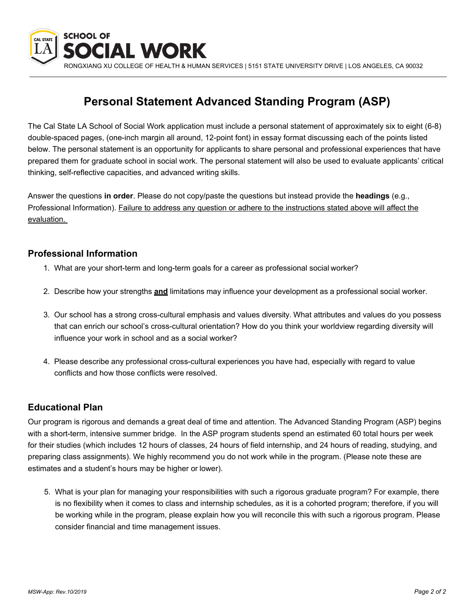

RONGXIANG XU COLLEGE OF HEALTH & HUMAN SERVICES | 5151 STATE UNIVERSITY DRIVE | LOS ANGELES, CA 90032

## **Personal Statement Advanced Standing Program (ASP)**

The Cal State LA School of Social Work application must include a personal statement of approximately six to eight (6-8) double-spaced pages, (one-inch margin all around, 12-point font) in essay format discussing each of the points listed below. The personal statement is an opportunity for applicants to share personal and professional experiences that have prepared them for graduate school in social work. The personal statement will also be used to evaluate applicants' critical thinking, self-reflective capacities, and advanced writing skills.

Answer the questions **in order**. Please do not copy/paste the questions but instead provide the **headings** (e.g., Professional Information). Failure to address any question or adhere to the instructions stated above will affect the evaluation.

## **Professional Information**

- 1. What are your short-term and long-term goals for a career as professional social worker?
- 2. Describe how your strengths **and** limitations may influence your development as a professional social worker.
- 3. Our school has a strong cross-cultural emphasis and values diversity. What attributes and values do you possess that can enrich our school's cross-cultural orientation? How do you think your worldview regarding diversity will influence your work in school and as a social worker?
- 4. Please describe any professional cross-cultural experiences you have had, especially with regard to value conflicts and how those conflicts were resolved.

## **Educational Plan**

Our program is rigorous and demands a great deal of time and attention. The Advanced Standing Program (ASP) begins with a short-term, intensive summer bridge. In the ASP program students spend an estimated 60 total hours per week for their studies (which includes 12 hours of classes, 24 hours of field internship, and 24 hours of reading, studying, and preparing class assignments). We highly recommend you do not work while in the program. (Please note these are estimates and a student's hours may be higher or lower).

5. What is your plan for managing your responsibilities with such a rigorous graduate program? For example, there is no flexibility when it comes to class and internship schedules, as it is a cohorted program; therefore, if you will be working while in the program, please explain how you will reconcile this with such a rigorous program. Please consider financial and time management issues.